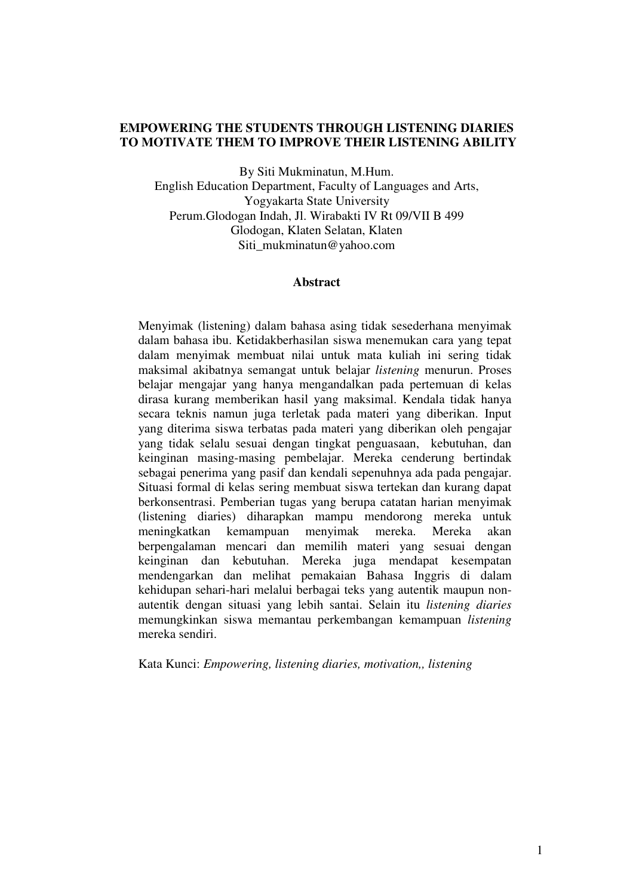## **EMPOWERING THE STUDENTS THROUGH LISTENING DIARIES TO MOTIVATE THEM TO IMPROVE THEIR LISTENING ABILITY**

By Siti Mukminatun, M.Hum.

English Education Department, Faculty of Languages and Arts, Yogyakarta State University Perum.Glodogan Indah, Jl. Wirabakti IV Rt 09/VII B 499 Glodogan, Klaten Selatan, Klaten Siti\_mukminatun@yahoo.com

### **Abstract**

 Menyimak (listening) dalam bahasa asing tidak sesederhana menyimak dalam bahasa ibu. Ketidakberhasilan siswa menemukan cara yang tepat dalam menyimak membuat nilai untuk mata kuliah ini sering tidak maksimal akibatnya semangat untuk belajar *listening* menurun. Proses belajar mengajar yang hanya mengandalkan pada pertemuan di kelas dirasa kurang memberikan hasil yang maksimal. Kendala tidak hanya secara teknis namun juga terletak pada materi yang diberikan. Input yang diterima siswa terbatas pada materi yang diberikan oleh pengajar yang tidak selalu sesuai dengan tingkat penguasaan, kebutuhan, dan keinginan masing-masing pembelajar. Mereka cenderung bertindak sebagai penerima yang pasif dan kendali sepenuhnya ada pada pengajar. Situasi formal di kelas sering membuat siswa tertekan dan kurang dapat berkonsentrasi. Pemberian tugas yang berupa catatan harian menyimak (listening diaries) diharapkan mampu mendorong mereka untuk meningkatkan kemampuan menyimak mereka. Mereka akan berpengalaman mencari dan memilih materi yang sesuai dengan keinginan dan kebutuhan. Mereka juga mendapat kesempatan mendengarkan dan melihat pemakaian Bahasa Inggris di dalam kehidupan sehari-hari melalui berbagai teks yang autentik maupun nonautentik dengan situasi yang lebih santai. Selain itu *listening diaries* memungkinkan siswa memantau perkembangan kemampuan *listening*  mereka sendiri.

Kata Kunci: *Empowering, listening diaries, motivation,, listening*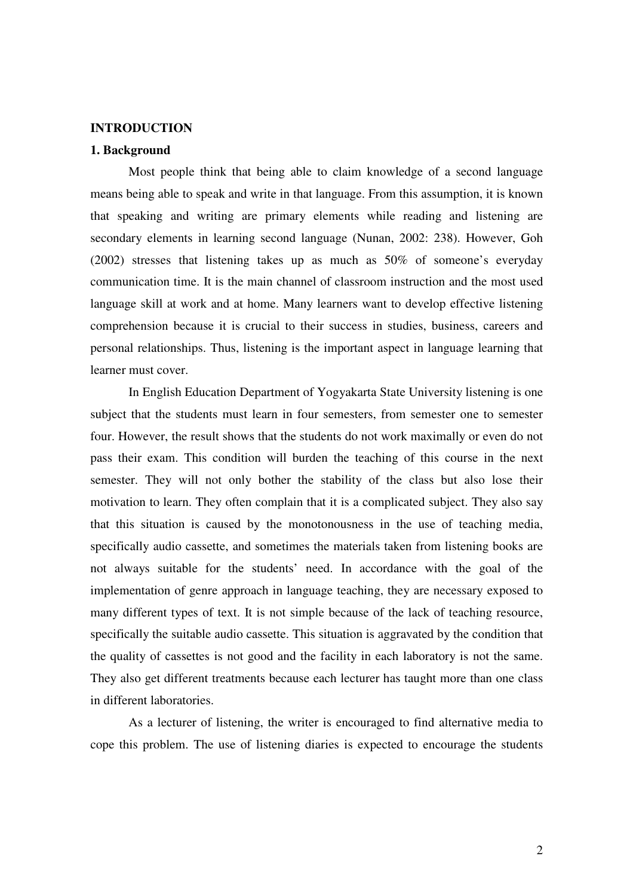### **INTRODUCTION**

### **1. Background**

Most people think that being able to claim knowledge of a second language means being able to speak and write in that language. From this assumption, it is known that speaking and writing are primary elements while reading and listening are secondary elements in learning second language (Nunan, 2002: 238). However, Goh (2002) stresses that listening takes up as much as 50% of someone's everyday communication time. It is the main channel of classroom instruction and the most used language skill at work and at home. Many learners want to develop effective listening comprehension because it is crucial to their success in studies, business, careers and personal relationships. Thus, listening is the important aspect in language learning that learner must cover.

In English Education Department of Yogyakarta State University listening is one subject that the students must learn in four semesters, from semester one to semester four. However, the result shows that the students do not work maximally or even do not pass their exam. This condition will burden the teaching of this course in the next semester. They will not only bother the stability of the class but also lose their motivation to learn. They often complain that it is a complicated subject. They also say that this situation is caused by the monotonousness in the use of teaching media, specifically audio cassette, and sometimes the materials taken from listening books are not always suitable for the students' need. In accordance with the goal of the implementation of genre approach in language teaching, they are necessary exposed to many different types of text. It is not simple because of the lack of teaching resource, specifically the suitable audio cassette. This situation is aggravated by the condition that the quality of cassettes is not good and the facility in each laboratory is not the same. They also get different treatments because each lecturer has taught more than one class in different laboratories.

As a lecturer of listening, the writer is encouraged to find alternative media to cope this problem. The use of listening diaries is expected to encourage the students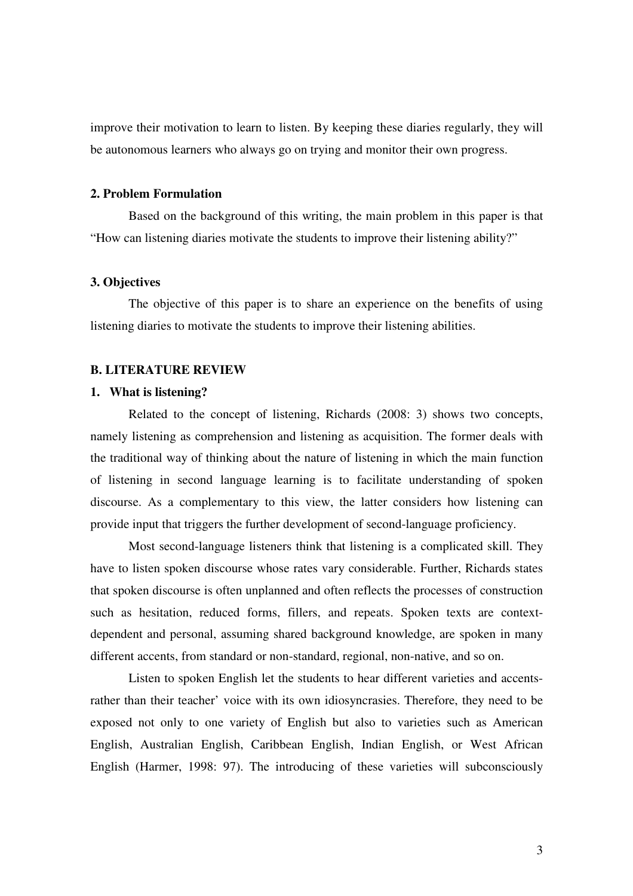improve their motivation to learn to listen. By keeping these diaries regularly, they will be autonomous learners who always go on trying and monitor their own progress.

#### **2. Problem Formulation**

Based on the background of this writing, the main problem in this paper is that "How can listening diaries motivate the students to improve their listening ability?"

### **3. Objectives**

The objective of this paper is to share an experience on the benefits of using listening diaries to motivate the students to improve their listening abilities.

#### **B. LITERATURE REVIEW**

## **1. What is listening?**

Related to the concept of listening, Richards (2008: 3) shows two concepts, namely listening as comprehension and listening as acquisition. The former deals with the traditional way of thinking about the nature of listening in which the main function of listening in second language learning is to facilitate understanding of spoken discourse. As a complementary to this view, the latter considers how listening can provide input that triggers the further development of second-language proficiency.

 Most second-language listeners think that listening is a complicated skill. They have to listen spoken discourse whose rates vary considerable. Further, Richards states that spoken discourse is often unplanned and often reflects the processes of construction such as hesitation, reduced forms, fillers, and repeats. Spoken texts are contextdependent and personal, assuming shared background knowledge, are spoken in many different accents, from standard or non-standard, regional, non-native, and so on.

 Listen to spoken English let the students to hear different varieties and accentsrather than their teacher' voice with its own idiosyncrasies. Therefore, they need to be exposed not only to one variety of English but also to varieties such as American English, Australian English, Caribbean English, Indian English, or West African English (Harmer, 1998: 97). The introducing of these varieties will subconsciously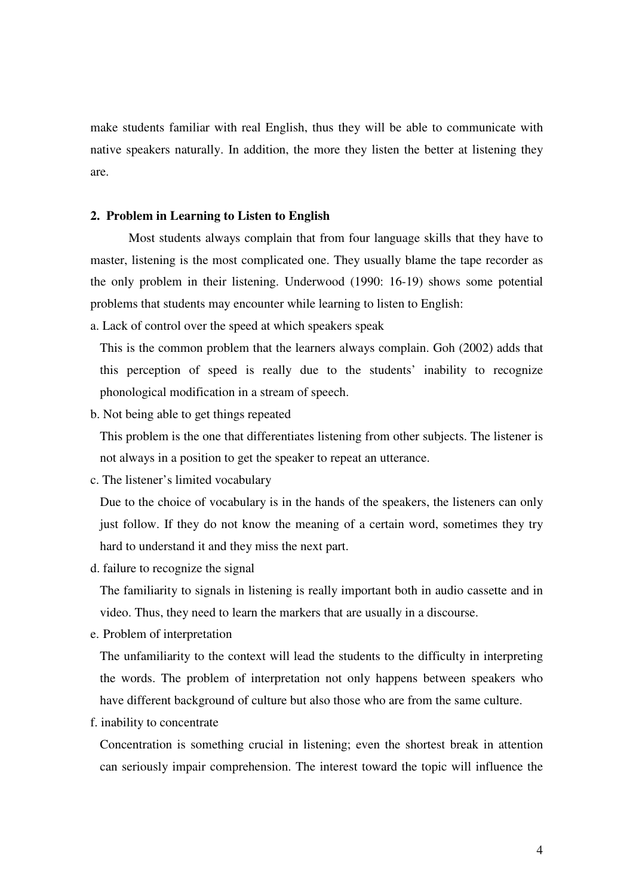make students familiar with real English, thus they will be able to communicate with native speakers naturally. In addition, the more they listen the better at listening they are.

### **2. Problem in Learning to Listen to English**

Most students always complain that from four language skills that they have to master, listening is the most complicated one. They usually blame the tape recorder as the only problem in their listening. Underwood (1990: 16-19) shows some potential problems that students may encounter while learning to listen to English:

a. Lack of control over the speed at which speakers speak

This is the common problem that the learners always complain. Goh (2002) adds that this perception of speed is really due to the students' inability to recognize phonological modification in a stream of speech.

b. Not being able to get things repeated

This problem is the one that differentiates listening from other subjects. The listener is not always in a position to get the speaker to repeat an utterance.

c. The listener's limited vocabulary

Due to the choice of vocabulary is in the hands of the speakers, the listeners can only just follow. If they do not know the meaning of a certain word, sometimes they try hard to understand it and they miss the next part.

d. failure to recognize the signal

The familiarity to signals in listening is really important both in audio cassette and in video. Thus, they need to learn the markers that are usually in a discourse.

e. Problem of interpretation

The unfamiliarity to the context will lead the students to the difficulty in interpreting the words. The problem of interpretation not only happens between speakers who have different background of culture but also those who are from the same culture.

f. inability to concentrate

Concentration is something crucial in listening; even the shortest break in attention can seriously impair comprehension. The interest toward the topic will influence the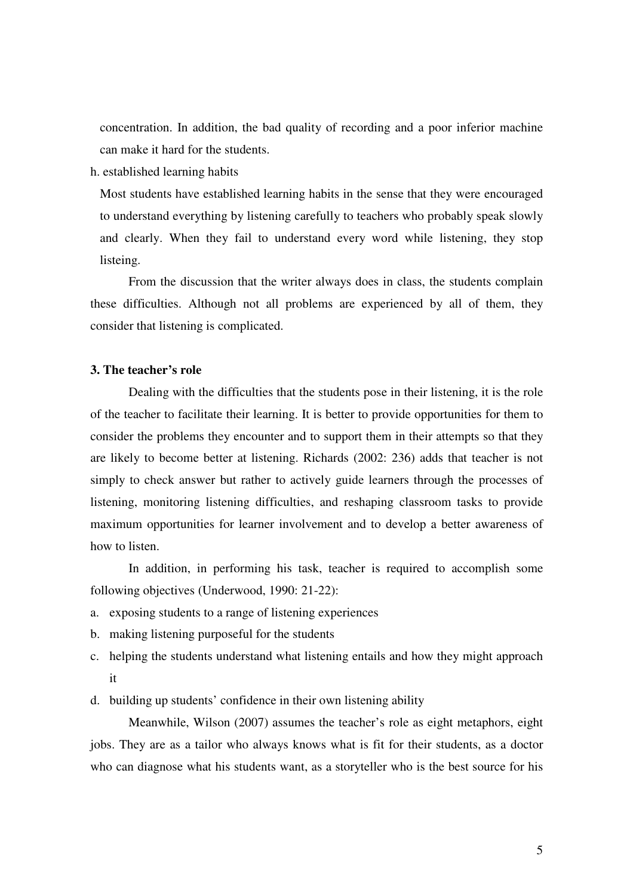concentration. In addition, the bad quality of recording and a poor inferior machine can make it hard for the students.

h. established learning habits

Most students have established learning habits in the sense that they were encouraged to understand everything by listening carefully to teachers who probably speak slowly and clearly. When they fail to understand every word while listening, they stop listeing.

 From the discussion that the writer always does in class, the students complain these difficulties. Although not all problems are experienced by all of them, they consider that listening is complicated.

## **3. The teacher's role**

 Dealing with the difficulties that the students pose in their listening, it is the role of the teacher to facilitate their learning. It is better to provide opportunities for them to consider the problems they encounter and to support them in their attempts so that they are likely to become better at listening. Richards (2002: 236) adds that teacher is not simply to check answer but rather to actively guide learners through the processes of listening, monitoring listening difficulties, and reshaping classroom tasks to provide maximum opportunities for learner involvement and to develop a better awareness of how to listen.

 In addition, in performing his task, teacher is required to accomplish some following objectives (Underwood, 1990: 21-22):

- a. exposing students to a range of listening experiences
- b. making listening purposeful for the students
- c. helping the students understand what listening entails and how they might approach it
- d. building up students' confidence in their own listening ability

 Meanwhile, Wilson (2007) assumes the teacher's role as eight metaphors, eight jobs. They are as a tailor who always knows what is fit for their students, as a doctor who can diagnose what his students want, as a storyteller who is the best source for his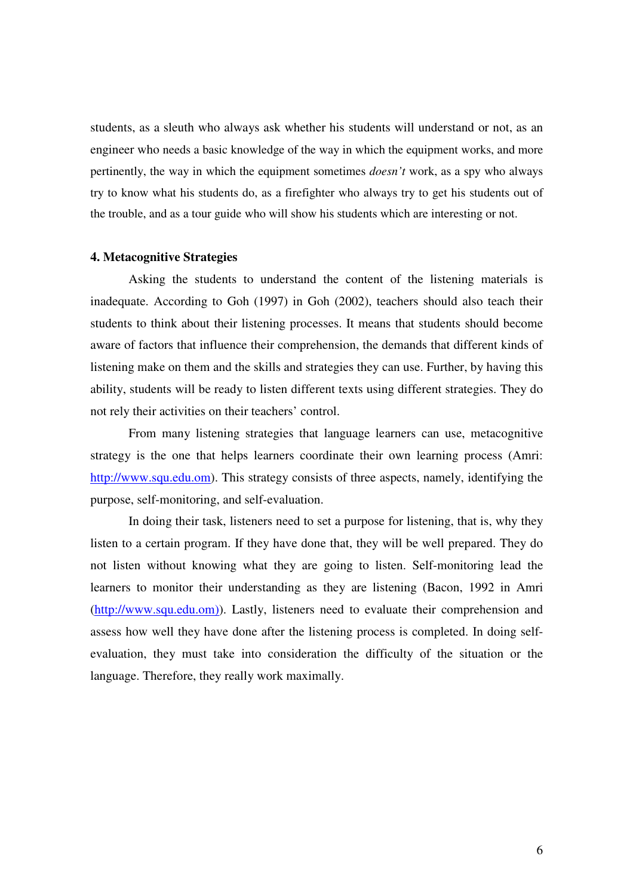students, as a sleuth who always ask whether his students will understand or not, as an engineer who needs a basic knowledge of the way in which the equipment works, and more pertinently, the way in which the equipment sometimes *doesn't* work, as a spy who always try to know what his students do, as a firefighter who always try to get his students out of the trouble, and as a tour guide who will show his students which are interesting or not.

#### **4. Metacognitive Strategies**

Asking the students to understand the content of the listening materials is inadequate. According to Goh (1997) in Goh (2002), teachers should also teach their students to think about their listening processes. It means that students should become aware of factors that influence their comprehension, the demands that different kinds of listening make on them and the skills and strategies they can use. Further, by having this ability, students will be ready to listen different texts using different strategies. They do not rely their activities on their teachers' control.

 From many listening strategies that language learners can use, metacognitive strategy is the one that helps learners coordinate their own learning process (Amri: http://www.squ.edu.om). This strategy consists of three aspects, namely, identifying the purpose, self-monitoring, and self-evaluation.

 In doing their task, listeners need to set a purpose for listening, that is, why they listen to a certain program. If they have done that, they will be well prepared. They do not listen without knowing what they are going to listen. Self-monitoring lead the learners to monitor their understanding as they are listening (Bacon, 1992 in Amri (http://www.squ.edu.om)). Lastly, listeners need to evaluate their comprehension and assess how well they have done after the listening process is completed. In doing selfevaluation, they must take into consideration the difficulty of the situation or the language. Therefore, they really work maximally.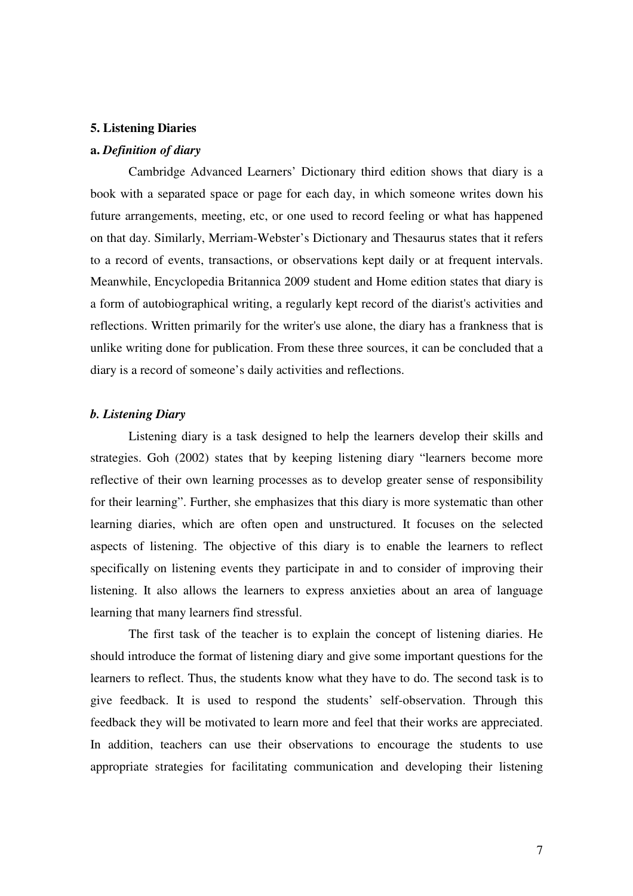#### **5. Listening Diaries**

### **a.** *Definition of diary*

Cambridge Advanced Learners' Dictionary third edition shows that diary is a book with a separated space or page for each day, in which someone writes down his future arrangements, meeting, etc, or one used to record feeling or what has happened on that day. Similarly, Merriam-Webster's Dictionary and Thesaurus states that it refers to a record of events, transactions, or observations kept daily or at frequent intervals. Meanwhile, Encyclopedia Britannica 2009 student and Home edition states that diary is a form of autobiographical writing, a regularly kept record of the diarist's activities and reflections. Written primarily for the writer's use alone, the diary has a frankness that is unlike writing done for publication. From these three sources, it can be concluded that a diary is a record of someone's daily activities and reflections.

#### *b. Listening Diary*

 Listening diary is a task designed to help the learners develop their skills and strategies. Goh (2002) states that by keeping listening diary "learners become more reflective of their own learning processes as to develop greater sense of responsibility for their learning". Further, she emphasizes that this diary is more systematic than other learning diaries, which are often open and unstructured. It focuses on the selected aspects of listening. The objective of this diary is to enable the learners to reflect specifically on listening events they participate in and to consider of improving their listening. It also allows the learners to express anxieties about an area of language learning that many learners find stressful.

 The first task of the teacher is to explain the concept of listening diaries. He should introduce the format of listening diary and give some important questions for the learners to reflect. Thus, the students know what they have to do. The second task is to give feedback. It is used to respond the students' self-observation. Through this feedback they will be motivated to learn more and feel that their works are appreciated. In addition, teachers can use their observations to encourage the students to use appropriate strategies for facilitating communication and developing their listening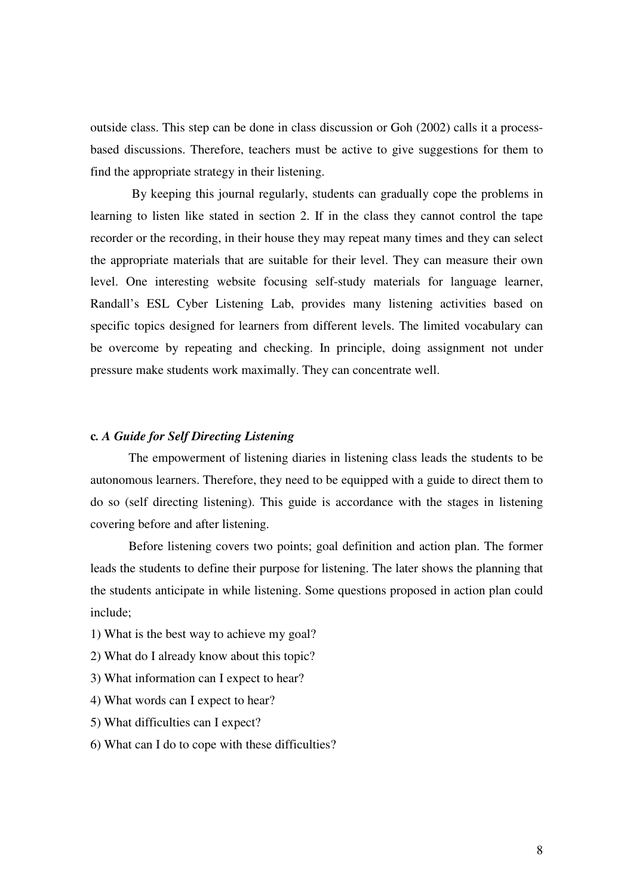outside class. This step can be done in class discussion or Goh (2002) calls it a processbased discussions. Therefore, teachers must be active to give suggestions for them to find the appropriate strategy in their listening.

 By keeping this journal regularly, students can gradually cope the problems in learning to listen like stated in section 2. If in the class they cannot control the tape recorder or the recording, in their house they may repeat many times and they can select the appropriate materials that are suitable for their level. They can measure their own level. One interesting website focusing self-study materials for language learner, Randall's ESL Cyber Listening Lab, provides many listening activities based on specific topics designed for learners from different levels. The limited vocabulary can be overcome by repeating and checking. In principle, doing assignment not under pressure make students work maximally. They can concentrate well.

### **c***. A Guide for Self Directing Listening*

 The empowerment of listening diaries in listening class leads the students to be autonomous learners. Therefore, they need to be equipped with a guide to direct them to do so (self directing listening). This guide is accordance with the stages in listening covering before and after listening.

 Before listening covers two points; goal definition and action plan. The former leads the students to define their purpose for listening. The later shows the planning that the students anticipate in while listening. Some questions proposed in action plan could include;

- 1) What is the best way to achieve my goal?
- 2) What do I already know about this topic?
- 3) What information can I expect to hear?
- 4) What words can I expect to hear?
- 5) What difficulties can I expect?
- 6) What can I do to cope with these difficulties?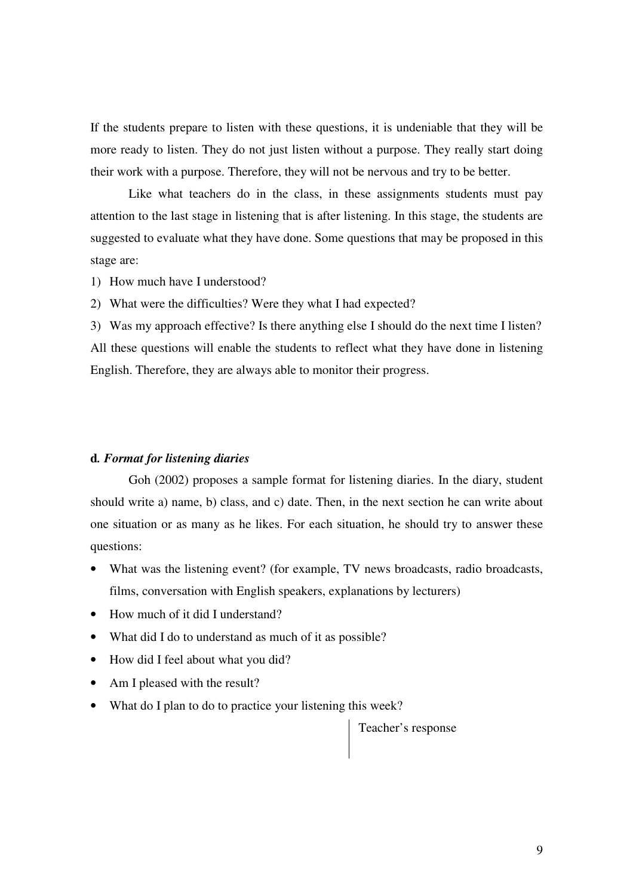If the students prepare to listen with these questions, it is undeniable that they will be more ready to listen. They do not just listen without a purpose. They really start doing their work with a purpose. Therefore, they will not be nervous and try to be better.

 Like what teachers do in the class, in these assignments students must pay attention to the last stage in listening that is after listening. In this stage, the students are suggested to evaluate what they have done. Some questions that may be proposed in this stage are:

1) How much have I understood?

2) What were the difficulties? Were they what I had expected?

3) Was my approach effective? Is there anything else I should do the next time I listen? All these questions will enable the students to reflect what they have done in listening English. Therefore, they are always able to monitor their progress.

### **d***. Format for listening diaries*

Goh (2002) proposes a sample format for listening diaries. In the diary, student should write a) name, b) class, and c) date. Then, in the next section he can write about one situation or as many as he likes. For each situation, he should try to answer these questions:

- What was the listening event? (for example, TV news broadcasts, radio broadcasts, films, conversation with English speakers, explanations by lecturers)
- How much of it did I understand?
- What did I do to understand as much of it as possible?
- How did I feel about what you did?
- Am I pleased with the result?
- What do I plan to do to practice your listening this week?

Teacher's response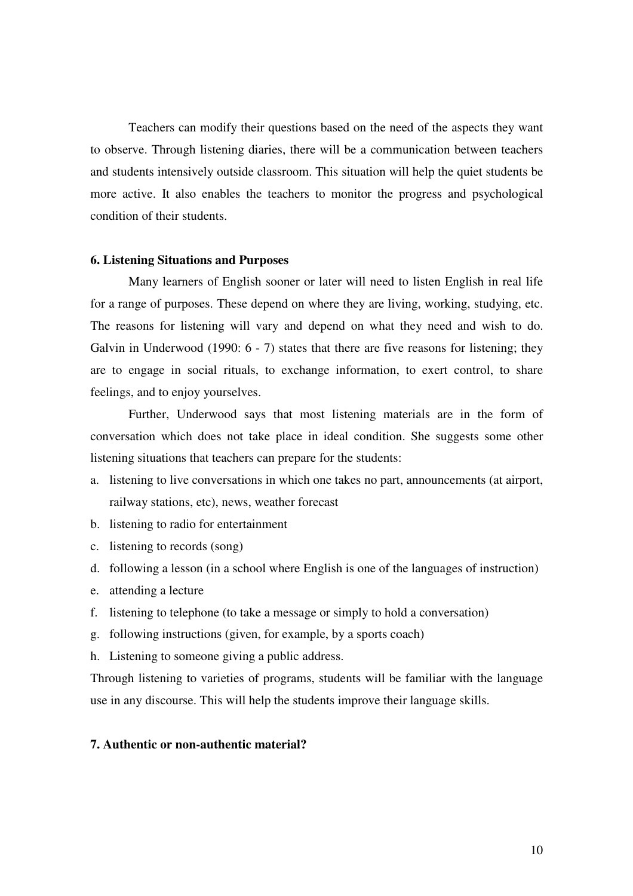Teachers can modify their questions based on the need of the aspects they want to observe. Through listening diaries, there will be a communication between teachers and students intensively outside classroom. This situation will help the quiet students be more active. It also enables the teachers to monitor the progress and psychological condition of their students.

#### **6. Listening Situations and Purposes**

 Many learners of English sooner or later will need to listen English in real life for a range of purposes. These depend on where they are living, working, studying, etc. The reasons for listening will vary and depend on what they need and wish to do. Galvin in Underwood (1990: 6 - 7) states that there are five reasons for listening; they are to engage in social rituals, to exchange information, to exert control, to share feelings, and to enjoy yourselves.

 Further, Underwood says that most listening materials are in the form of conversation which does not take place in ideal condition. She suggests some other listening situations that teachers can prepare for the students:

- a. listening to live conversations in which one takes no part, announcements (at airport, railway stations, etc), news, weather forecast
- b. listening to radio for entertainment
- c. listening to records (song)
- d. following a lesson (in a school where English is one of the languages of instruction)
- e. attending a lecture
- f. listening to telephone (to take a message or simply to hold a conversation)
- g. following instructions (given, for example, by a sports coach)
- h. Listening to someone giving a public address.

Through listening to varieties of programs, students will be familiar with the language use in any discourse. This will help the students improve their language skills.

## **7. Authentic or non-authentic material?**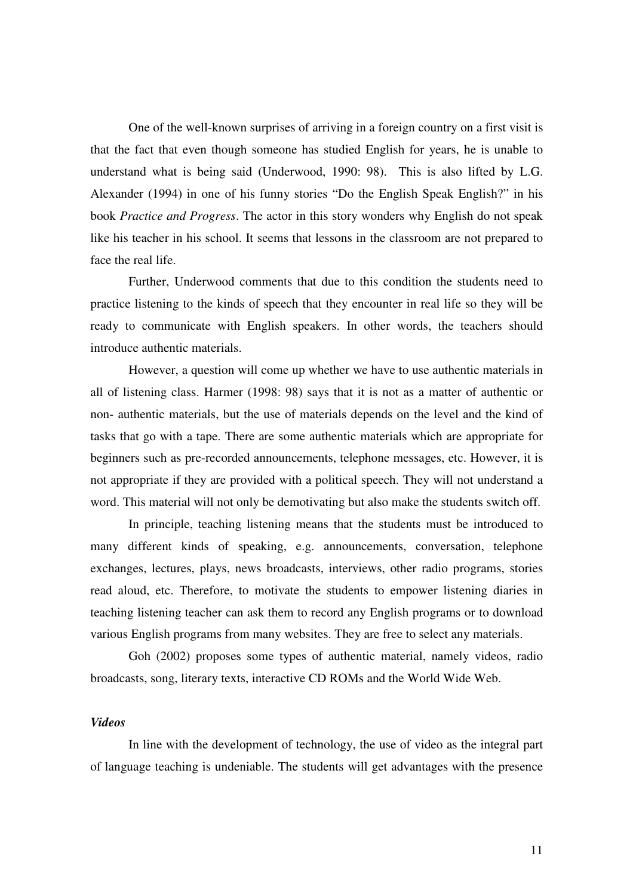One of the well-known surprises of arriving in a foreign country on a first visit is that the fact that even though someone has studied English for years, he is unable to understand what is being said (Underwood, 1990: 98). This is also lifted by L.G. Alexander (1994) in one of his funny stories "Do the English Speak English?" in his book *Practice and Progress*. The actor in this story wonders why English do not speak like his teacher in his school. It seems that lessons in the classroom are not prepared to face the real life.

Further, Underwood comments that due to this condition the students need to practice listening to the kinds of speech that they encounter in real life so they will be ready to communicate with English speakers. In other words, the teachers should introduce authentic materials.

However, a question will come up whether we have to use authentic materials in all of listening class. Harmer (1998: 98) says that it is not as a matter of authentic or non- authentic materials, but the use of materials depends on the level and the kind of tasks that go with a tape. There are some authentic materials which are appropriate for beginners such as pre-recorded announcements, telephone messages, etc. However, it is not appropriate if they are provided with a political speech. They will not understand a word. This material will not only be demotivating but also make the students switch off.

In principle, teaching listening means that the students must be introduced to many different kinds of speaking, e.g. announcements, conversation, telephone exchanges, lectures, plays, news broadcasts, interviews, other radio programs, stories read aloud, etc. Therefore, to motivate the students to empower listening diaries in teaching listening teacher can ask them to record any English programs or to download various English programs from many websites. They are free to select any materials.

Goh (2002) proposes some types of authentic material, namely videos, radio broadcasts, song, literary texts, interactive CD ROMs and the World Wide Web.

## *Videos*

 In line with the development of technology, the use of video as the integral part of language teaching is undeniable. The students will get advantages with the presence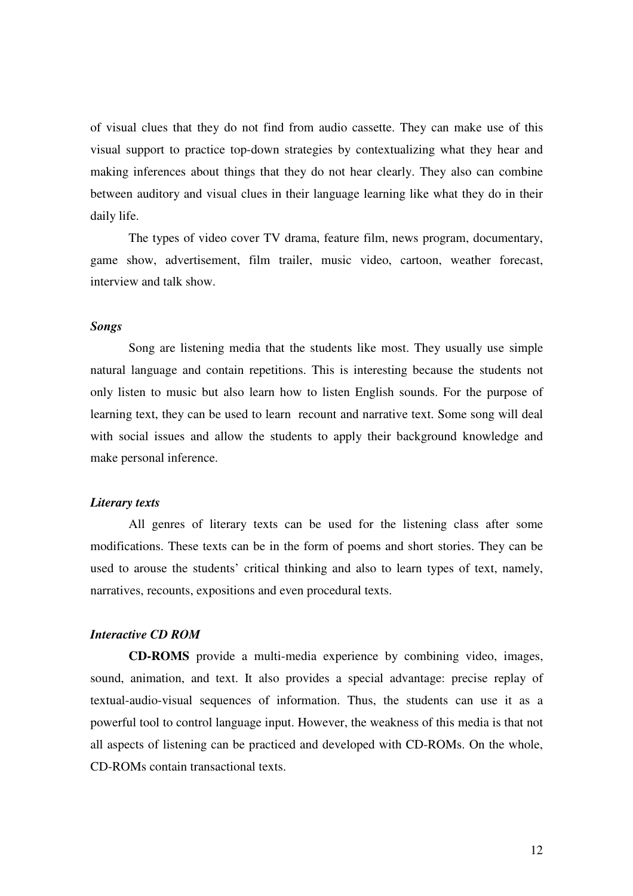of visual clues that they do not find from audio cassette. They can make use of this visual support to practice top-down strategies by contextualizing what they hear and making inferences about things that they do not hear clearly. They also can combine between auditory and visual clues in their language learning like what they do in their daily life.

 The types of video cover TV drama, feature film, news program, documentary, game show, advertisement, film trailer, music video, cartoon, weather forecast, interview and talk show.

### *Songs*

 Song are listening media that the students like most. They usually use simple natural language and contain repetitions. This is interesting because the students not only listen to music but also learn how to listen English sounds. For the purpose of learning text, they can be used to learn recount and narrative text. Some song will deal with social issues and allow the students to apply their background knowledge and make personal inference.

#### *Literary texts*

 All genres of literary texts can be used for the listening class after some modifications. These texts can be in the form of poems and short stories. They can be used to arouse the students' critical thinking and also to learn types of text, namely, narratives, recounts, expositions and even procedural texts.

## *Interactive CD ROM*

 **CD-ROMS** provide a multi-media experience by combining video, images, sound, animation, and text. It also provides a special advantage: precise replay of textual-audio-visual sequences of information. Thus, the students can use it as a powerful tool to control language input. However, the weakness of this media is that not all aspects of listening can be practiced and developed with CD-ROMs. On the whole, CD-ROMs contain transactional texts.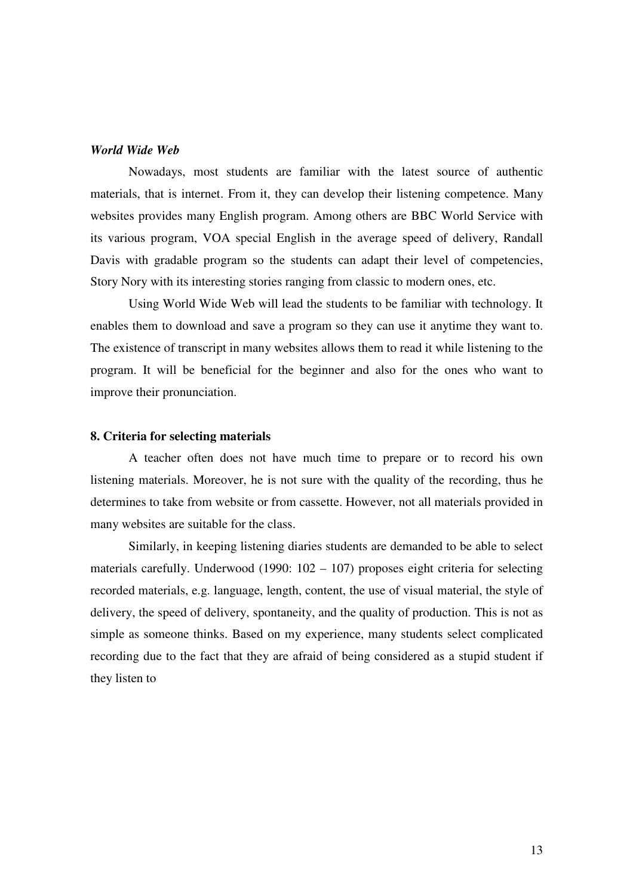### *World Wide Web*

 Nowadays, most students are familiar with the latest source of authentic materials, that is internet. From it, they can develop their listening competence. Many websites provides many English program. Among others are BBC World Service with its various program, VOA special English in the average speed of delivery, Randall Davis with gradable program so the students can adapt their level of competencies, Story Nory with its interesting stories ranging from classic to modern ones, etc.

 Using World Wide Web will lead the students to be familiar with technology. It enables them to download and save a program so they can use it anytime they want to. The existence of transcript in many websites allows them to read it while listening to the program. It will be beneficial for the beginner and also for the ones who want to improve their pronunciation.

### **8. Criteria for selecting materials**

A teacher often does not have much time to prepare or to record his own listening materials. Moreover, he is not sure with the quality of the recording, thus he determines to take from website or from cassette. However, not all materials provided in many websites are suitable for the class.

Similarly, in keeping listening diaries students are demanded to be able to select materials carefully. Underwood (1990: 102 – 107) proposes eight criteria for selecting recorded materials, e.g. language, length, content, the use of visual material, the style of delivery, the speed of delivery, spontaneity, and the quality of production. This is not as simple as someone thinks. Based on my experience, many students select complicated recording due to the fact that they are afraid of being considered as a stupid student if they listen to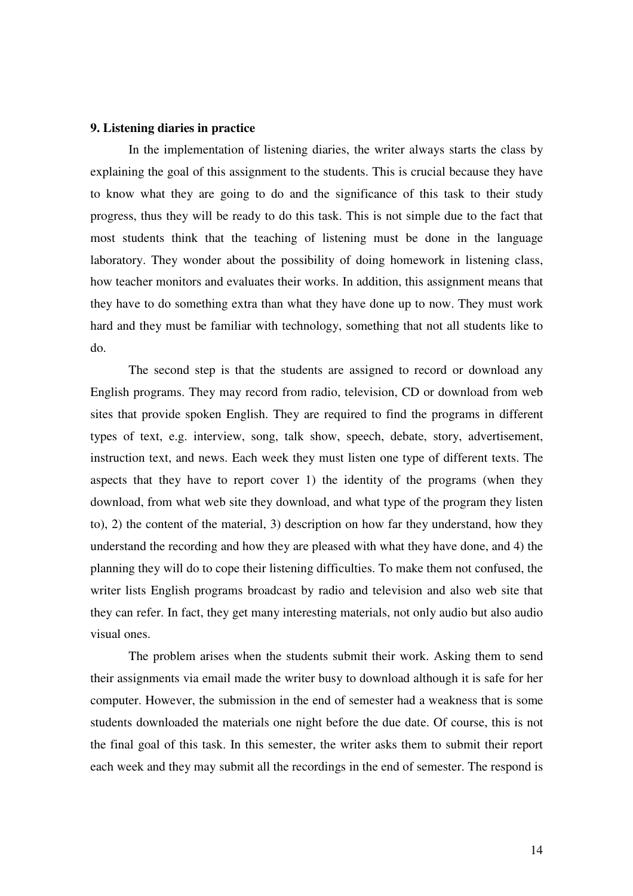### **9. Listening diaries in practice**

 In the implementation of listening diaries, the writer always starts the class by explaining the goal of this assignment to the students. This is crucial because they have to know what they are going to do and the significance of this task to their study progress, thus they will be ready to do this task. This is not simple due to the fact that most students think that the teaching of listening must be done in the language laboratory. They wonder about the possibility of doing homework in listening class, how teacher monitors and evaluates their works. In addition, this assignment means that they have to do something extra than what they have done up to now. They must work hard and they must be familiar with technology, something that not all students like to do.

 The second step is that the students are assigned to record or download any English programs. They may record from radio, television, CD or download from web sites that provide spoken English. They are required to find the programs in different types of text, e.g. interview, song, talk show, speech, debate, story, advertisement, instruction text, and news. Each week they must listen one type of different texts. The aspects that they have to report cover 1) the identity of the programs (when they download, from what web site they download, and what type of the program they listen to), 2) the content of the material, 3) description on how far they understand, how they understand the recording and how they are pleased with what they have done, and 4) the planning they will do to cope their listening difficulties. To make them not confused, the writer lists English programs broadcast by radio and television and also web site that they can refer. In fact, they get many interesting materials, not only audio but also audio visual ones.

 The problem arises when the students submit their work. Asking them to send their assignments via email made the writer busy to download although it is safe for her computer. However, the submission in the end of semester had a weakness that is some students downloaded the materials one night before the due date. Of course, this is not the final goal of this task. In this semester, the writer asks them to submit their report each week and they may submit all the recordings in the end of semester. The respond is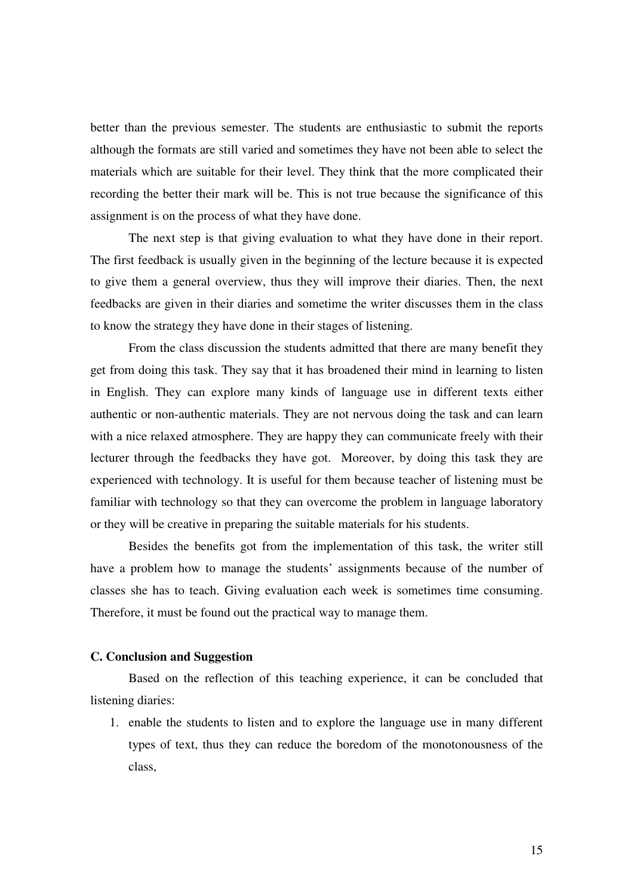better than the previous semester. The students are enthusiastic to submit the reports although the formats are still varied and sometimes they have not been able to select the materials which are suitable for their level. They think that the more complicated their recording the better their mark will be. This is not true because the significance of this assignment is on the process of what they have done.

 The next step is that giving evaluation to what they have done in their report. The first feedback is usually given in the beginning of the lecture because it is expected to give them a general overview, thus they will improve their diaries. Then, the next feedbacks are given in their diaries and sometime the writer discusses them in the class to know the strategy they have done in their stages of listening.

 From the class discussion the students admitted that there are many benefit they get from doing this task. They say that it has broadened their mind in learning to listen in English. They can explore many kinds of language use in different texts either authentic or non-authentic materials. They are not nervous doing the task and can learn with a nice relaxed atmosphere. They are happy they can communicate freely with their lecturer through the feedbacks they have got. Moreover, by doing this task they are experienced with technology. It is useful for them because teacher of listening must be familiar with technology so that they can overcome the problem in language laboratory or they will be creative in preparing the suitable materials for his students.

Besides the benefits got from the implementation of this task, the writer still have a problem how to manage the students' assignments because of the number of classes she has to teach. Giving evaluation each week is sometimes time consuming. Therefore, it must be found out the practical way to manage them.

### **C. Conclusion and Suggestion**

 Based on the reflection of this teaching experience, it can be concluded that listening diaries:

1. enable the students to listen and to explore the language use in many different types of text, thus they can reduce the boredom of the monotonousness of the class,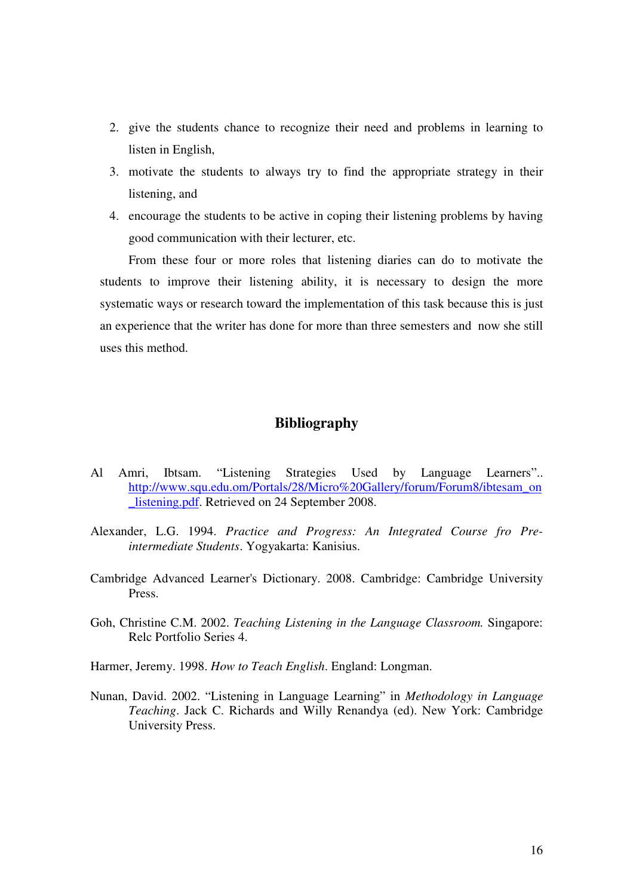- 2. give the students chance to recognize their need and problems in learning to listen in English,
- 3. motivate the students to always try to find the appropriate strategy in their listening, and
- 4. encourage the students to be active in coping their listening problems by having good communication with their lecturer, etc.

From these four or more roles that listening diaries can do to motivate the students to improve their listening ability, it is necessary to design the more systematic ways or research toward the implementation of this task because this is just an experience that the writer has done for more than three semesters and now she still uses this method.

# **Bibliography**

- Al Amri, Ibtsam. "Listening Strategies Used by Language Learners".. http://www.squ.edu.om/Portals/28/Micro%20Gallery/forum/Forum8/ibtesam\_on listening.pdf. Retrieved on 24 September 2008.
- Alexander, L.G. 1994. *Practice and Progress: An Integrated Course fro Preintermediate Students*. Yogyakarta: Kanisius.
- Cambridge Advanced Learner's Dictionary. 2008. Cambridge: Cambridge University Press.
- Goh, Christine C.M. 2002. *Teaching Listening in the Language Classroom.* Singapore: Relc Portfolio Series 4.
- Harmer, Jeremy. 1998. *How to Teach English*. England: Longman.
- Nunan, David. 2002. "Listening in Language Learning" in *Methodology in Language Teaching*. Jack C. Richards and Willy Renandya (ed). New York: Cambridge University Press.